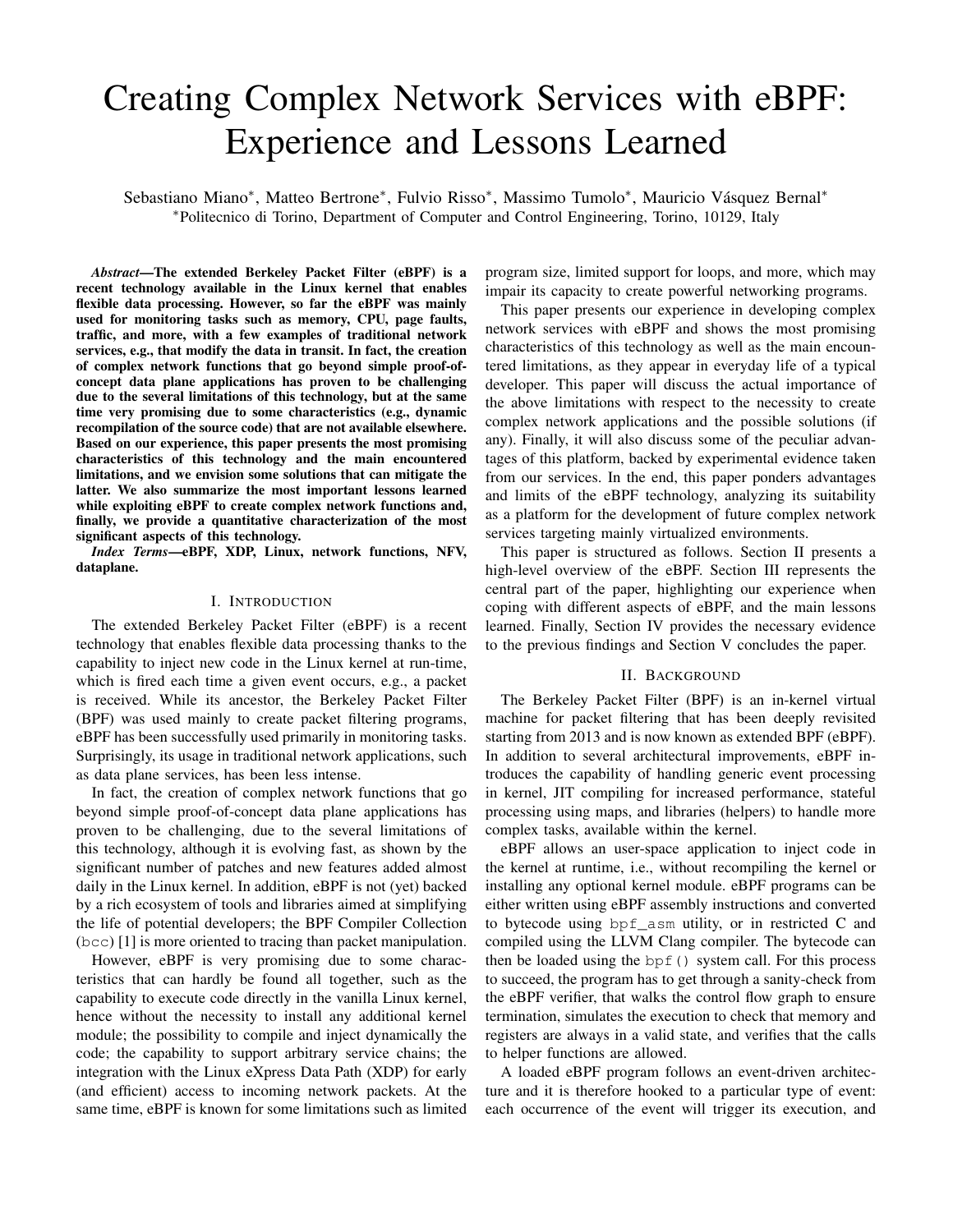# Creating Complex Network Services with eBPF: Experience and Lessons Learned

Sebastiano Miano\*, Matteo Bertrone\*, Fulvio Risso\*, Massimo Tumolo\*, Mauricio Vásquez Bernal\* <sup>∗</sup>Politecnico di Torino, Department of Computer and Control Engineering, Torino, 10129, Italy

*Abstract*—The extended Berkeley Packet Filter (eBPF) is a recent technology available in the Linux kernel that enables flexible data processing. However, so far the eBPF was mainly used for monitoring tasks such as memory, CPU, page faults, traffic, and more, with a few examples of traditional network services, e.g., that modify the data in transit. In fact, the creation of complex network functions that go beyond simple proof-ofconcept data plane applications has proven to be challenging due to the several limitations of this technology, but at the same time very promising due to some characteristics (e.g., dynamic recompilation of the source code) that are not available elsewhere. Based on our experience, this paper presents the most promising characteristics of this technology and the main encountered limitations, and we envision some solutions that can mitigate the latter. We also summarize the most important lessons learned while exploiting eBPF to create complex network functions and, finally, we provide a quantitative characterization of the most significant aspects of this technology.

*Index Terms*—eBPF, XDP, Linux, network functions, NFV, dataplane.

#### I. INTRODUCTION

The extended Berkeley Packet Filter (eBPF) is a recent technology that enables flexible data processing thanks to the capability to inject new code in the Linux kernel at run-time, which is fired each time a given event occurs, e.g., a packet is received. While its ancestor, the Berkeley Packet Filter (BPF) was used mainly to create packet filtering programs, eBPF has been successfully used primarily in monitoring tasks. Surprisingly, its usage in traditional network applications, such as data plane services, has been less intense.

In fact, the creation of complex network functions that go beyond simple proof-of-concept data plane applications has proven to be challenging, due to the several limitations of this technology, although it is evolving fast, as shown by the significant number of patches and new features added almost daily in the Linux kernel. In addition, eBPF is not (yet) backed by a rich ecosystem of tools and libraries aimed at simplifying the life of potential developers; the BPF Compiler Collection (bcc) [1] is more oriented to tracing than packet manipulation.

However, eBPF is very promising due to some characteristics that can hardly be found all together, such as the capability to execute code directly in the vanilla Linux kernel, hence without the necessity to install any additional kernel module; the possibility to compile and inject dynamically the code; the capability to support arbitrary service chains; the integration with the Linux eXpress Data Path (XDP) for early (and efficient) access to incoming network packets. At the same time, eBPF is known for some limitations such as limited program size, limited support for loops, and more, which may impair its capacity to create powerful networking programs.

This paper presents our experience in developing complex network services with eBPF and shows the most promising characteristics of this technology as well as the main encountered limitations, as they appear in everyday life of a typical developer. This paper will discuss the actual importance of the above limitations with respect to the necessity to create complex network applications and the possible solutions (if any). Finally, it will also discuss some of the peculiar advantages of this platform, backed by experimental evidence taken from our services. In the end, this paper ponders advantages and limits of the eBPF technology, analyzing its suitability as a platform for the development of future complex network services targeting mainly virtualized environments.

This paper is structured as follows. Section II presents a high-level overview of the eBPF. Section III represents the central part of the paper, highlighting our experience when coping with different aspects of eBPF, and the main lessons learned. Finally, Section IV provides the necessary evidence to the previous findings and Section V concludes the paper.

## II. BACKGROUND

The Berkeley Packet Filter (BPF) is an in-kernel virtual machine for packet filtering that has been deeply revisited starting from 2013 and is now known as extended BPF (eBPF). In addition to several architectural improvements, eBPF introduces the capability of handling generic event processing in kernel, JIT compiling for increased performance, stateful processing using maps, and libraries (helpers) to handle more complex tasks, available within the kernel.

eBPF allows an user-space application to inject code in the kernel at runtime, i.e., without recompiling the kernel or installing any optional kernel module. eBPF programs can be either written using eBPF assembly instructions and converted to bytecode using bpf\_asm utility, or in restricted C and compiled using the LLVM Clang compiler. The bytecode can then be loaded using the  $bpf($ ) system call. For this process to succeed, the program has to get through a sanity-check from the eBPF verifier, that walks the control flow graph to ensure termination, simulates the execution to check that memory and registers are always in a valid state, and verifies that the calls to helper functions are allowed.

A loaded eBPF program follows an event-driven architecture and it is therefore hooked to a particular type of event: each occurrence of the event will trigger its execution, and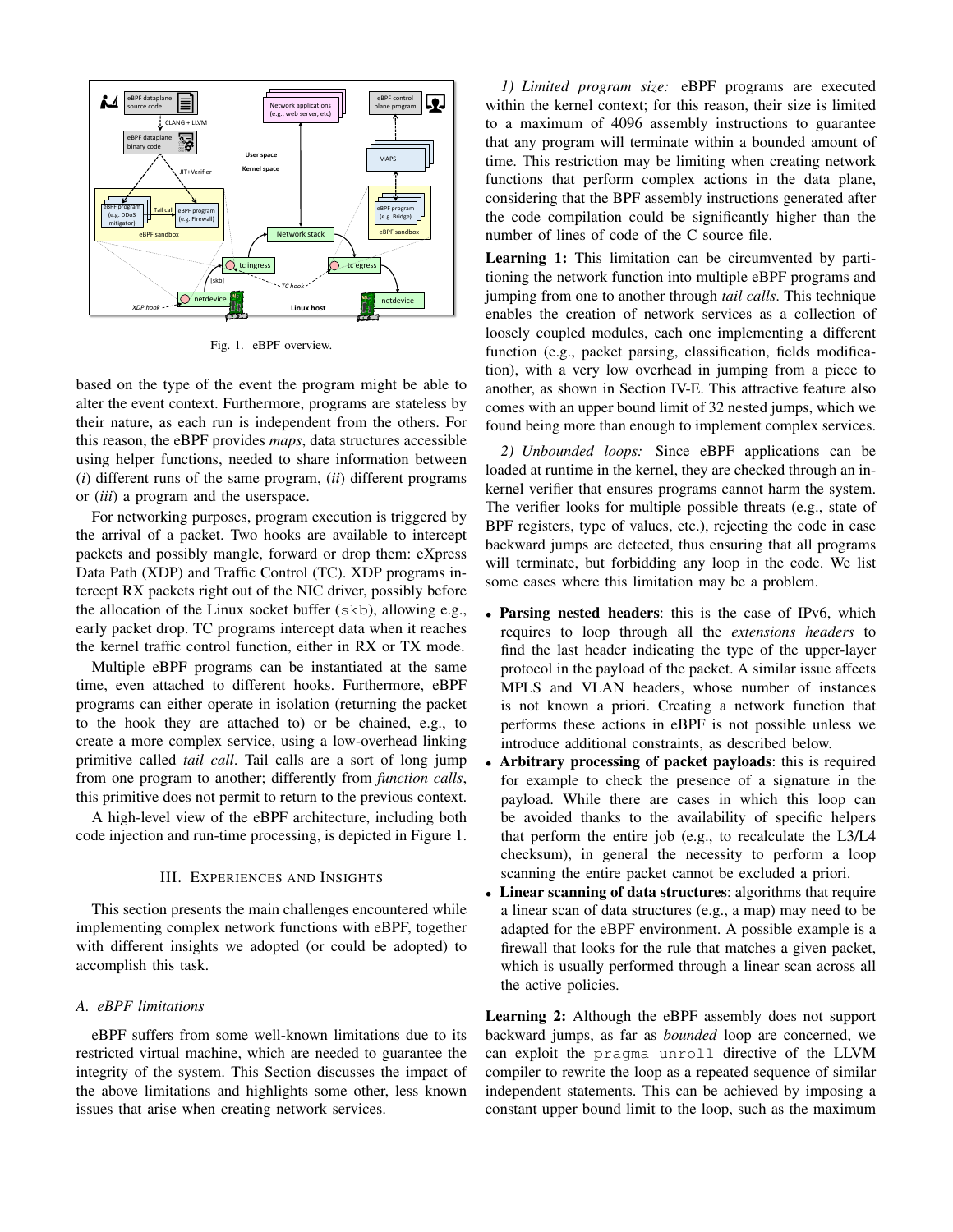

Fig. 1. eBPF overview.

based on the type of the event the program might be able to alter the event context. Furthermore, programs are stateless by their nature, as each run is independent from the others. For this reason, the eBPF provides *maps*, data structures accessible using helper functions, needed to share information between (*i*) different runs of the same program, (*ii*) different programs or (*iii*) a program and the userspace.

For networking purposes, program execution is triggered by the arrival of a packet. Two hooks are available to intercept packets and possibly mangle, forward or drop them: eXpress Data Path (XDP) and Traffic Control (TC). XDP programs intercept RX packets right out of the NIC driver, possibly before the allocation of the Linux socket buffer (skb), allowing e.g., early packet drop. TC programs intercept data when it reaches the kernel traffic control function, either in RX or TX mode.

Multiple eBPF programs can be instantiated at the same time, even attached to different hooks. Furthermore, eBPF programs can either operate in isolation (returning the packet to the hook they are attached to) or be chained, e.g., to create a more complex service, using a low-overhead linking primitive called *tail call*. Tail calls are a sort of long jump from one program to another; differently from *function calls*, this primitive does not permit to return to the previous context.

A high-level view of the eBPF architecture, including both code injection and run-time processing, is depicted in Figure 1.

#### III. EXPERIENCES AND INSIGHTS

This section presents the main challenges encountered while implementing complex network functions with eBPF, together with different insights we adopted (or could be adopted) to accomplish this task.

# *A. eBPF limitations*

eBPF suffers from some well-known limitations due to its restricted virtual machine, which are needed to guarantee the integrity of the system. This Section discusses the impact of the above limitations and highlights some other, less known issues that arise when creating network services.

*1) Limited program size:* eBPF programs are executed within the kernel context; for this reason, their size is limited to a maximum of 4096 assembly instructions to guarantee that any program will terminate within a bounded amount of time. This restriction may be limiting when creating network functions that perform complex actions in the data plane, considering that the BPF assembly instructions generated after the code compilation could be significantly higher than the number of lines of code of the C source file.

Learning 1: This limitation can be circumvented by partitioning the network function into multiple eBPF programs and jumping from one to another through *tail calls*. This technique enables the creation of network services as a collection of loosely coupled modules, each one implementing a different function (e.g., packet parsing, classification, fields modification), with a very low overhead in jumping from a piece to another, as shown in Section IV-E. This attractive feature also comes with an upper bound limit of 32 nested jumps, which we found being more than enough to implement complex services.

*2) Unbounded loops:* Since eBPF applications can be loaded at runtime in the kernel, they are checked through an inkernel verifier that ensures programs cannot harm the system. The verifier looks for multiple possible threats (e.g., state of BPF registers, type of values, etc.), rejecting the code in case backward jumps are detected, thus ensuring that all programs will terminate, but forbidding any loop in the code. We list some cases where this limitation may be a problem.

- Parsing nested headers: this is the case of IPv6, which requires to loop through all the *extensions headers* to find the last header indicating the type of the upper-layer protocol in the payload of the packet. A similar issue affects MPLS and VLAN headers, whose number of instances is not known a priori. Creating a network function that performs these actions in eBPF is not possible unless we introduce additional constraints, as described below.
- Arbitrary processing of packet payloads: this is required for example to check the presence of a signature in the payload. While there are cases in which this loop can be avoided thanks to the availability of specific helpers that perform the entire job (e.g., to recalculate the L3/L4 checksum), in general the necessity to perform a loop scanning the entire packet cannot be excluded a priori.
- Linear scanning of data structures: algorithms that require a linear scan of data structures (e.g., a map) may need to be adapted for the eBPF environment. A possible example is a firewall that looks for the rule that matches a given packet, which is usually performed through a linear scan across all the active policies.

Learning 2: Although the eBPF assembly does not support backward jumps, as far as *bounded* loop are concerned, we can exploit the pragma unroll directive of the LLVM compiler to rewrite the loop as a repeated sequence of similar independent statements. This can be achieved by imposing a constant upper bound limit to the loop, such as the maximum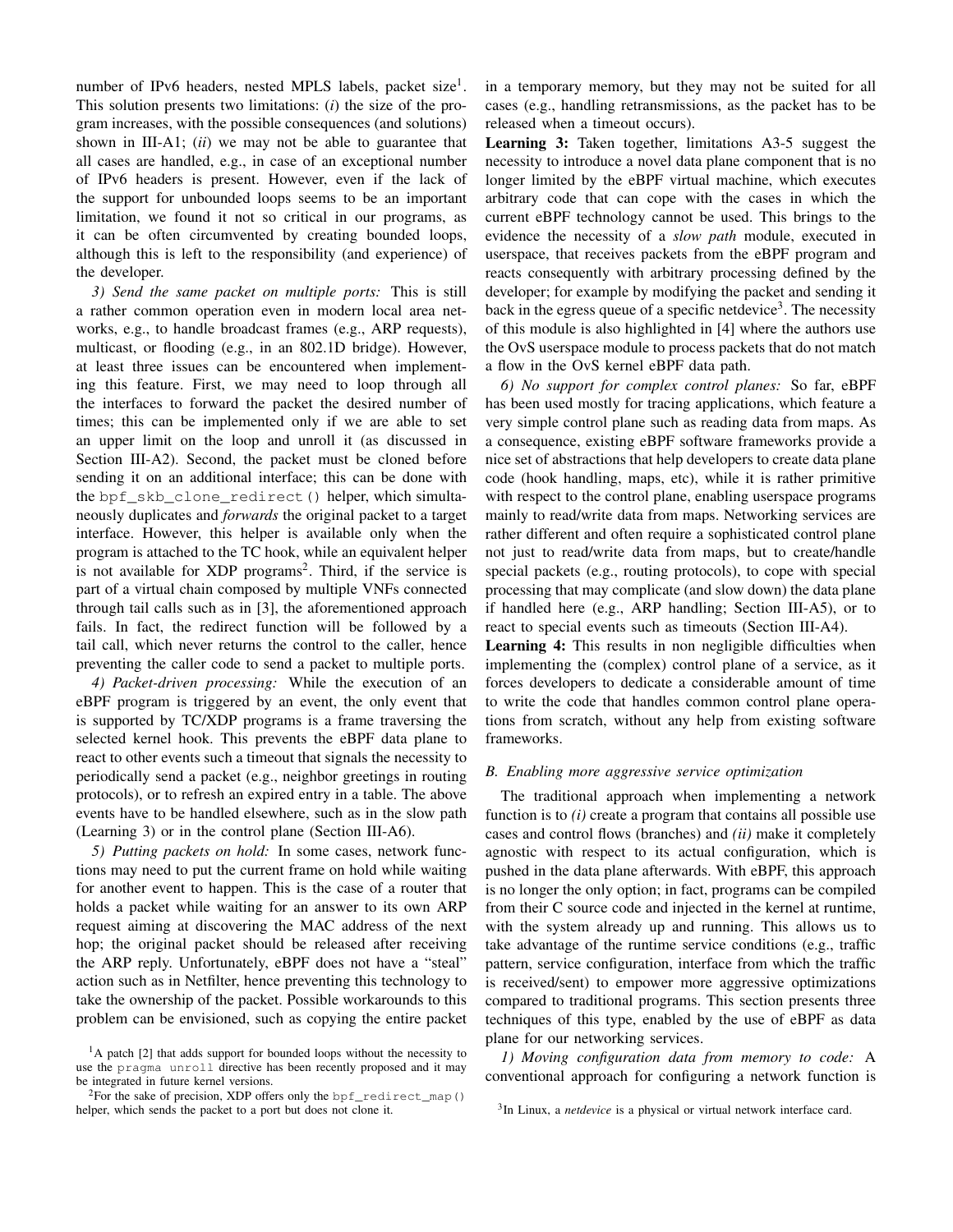number of IPv6 headers, nested MPLS labels, packet size<sup>1</sup>. This solution presents two limitations: (*i*) the size of the program increases, with the possible consequences (and solutions) shown in III-A1; (*ii*) we may not be able to guarantee that all cases are handled, e.g., in case of an exceptional number of IPv6 headers is present. However, even if the lack of the support for unbounded loops seems to be an important limitation, we found it not so critical in our programs, as it can be often circumvented by creating bounded loops, although this is left to the responsibility (and experience) of the developer.

*3) Send the same packet on multiple ports:* This is still a rather common operation even in modern local area networks, e.g., to handle broadcast frames (e.g., ARP requests), multicast, or flooding (e.g., in an 802.1D bridge). However, at least three issues can be encountered when implementing this feature. First, we may need to loop through all the interfaces to forward the packet the desired number of times; this can be implemented only if we are able to set an upper limit on the loop and unroll it (as discussed in Section III-A2). Second, the packet must be cloned before sending it on an additional interface; this can be done with the bpf skb clone redirect() helper, which simultaneously duplicates and *forwards* the original packet to a target interface. However, this helper is available only when the program is attached to the TC hook, while an equivalent helper is not available for XDP programs<sup>2</sup>. Third, if the service is part of a virtual chain composed by multiple VNFs connected through tail calls such as in [3], the aforementioned approach fails. In fact, the redirect function will be followed by a tail call, which never returns the control to the caller, hence preventing the caller code to send a packet to multiple ports.

*4) Packet-driven processing:* While the execution of an eBPF program is triggered by an event, the only event that is supported by TC/XDP programs is a frame traversing the selected kernel hook. This prevents the eBPF data plane to react to other events such a timeout that signals the necessity to periodically send a packet (e.g., neighbor greetings in routing protocols), or to refresh an expired entry in a table. The above events have to be handled elsewhere, such as in the slow path (Learning 3) or in the control plane (Section III-A6).

*5) Putting packets on hold:* In some cases, network functions may need to put the current frame on hold while waiting for another event to happen. This is the case of a router that holds a packet while waiting for an answer to its own ARP request aiming at discovering the MAC address of the next hop; the original packet should be released after receiving the ARP reply. Unfortunately, eBPF does not have a "steal" action such as in Netfilter, hence preventing this technology to take the ownership of the packet. Possible workarounds to this problem can be envisioned, such as copying the entire packet

in a temporary memory, but they may not be suited for all cases (e.g., handling retransmissions, as the packet has to be released when a timeout occurs).

Learning 3: Taken together, limitations A3-5 suggest the necessity to introduce a novel data plane component that is no longer limited by the eBPF virtual machine, which executes arbitrary code that can cope with the cases in which the current eBPF technology cannot be used. This brings to the evidence the necessity of a *slow path* module, executed in userspace, that receives packets from the eBPF program and reacts consequently with arbitrary processing defined by the developer; for example by modifying the packet and sending it back in the egress queue of a specific netdevice<sup>3</sup>. The necessity of this module is also highlighted in [4] where the authors use the OvS userspace module to process packets that do not match a flow in the OvS kernel eBPF data path.

*6) No support for complex control planes:* So far, eBPF has been used mostly for tracing applications, which feature a very simple control plane such as reading data from maps. As a consequence, existing eBPF software frameworks provide a nice set of abstractions that help developers to create data plane code (hook handling, maps, etc), while it is rather primitive with respect to the control plane, enabling userspace programs mainly to read/write data from maps. Networking services are rather different and often require a sophisticated control plane not just to read/write data from maps, but to create/handle special packets (e.g., routing protocols), to cope with special processing that may complicate (and slow down) the data plane if handled here (e.g., ARP handling; Section III-A5), or to react to special events such as timeouts (Section III-A4).

Learning 4: This results in non negligible difficulties when implementing the (complex) control plane of a service, as it forces developers to dedicate a considerable amount of time to write the code that handles common control plane operations from scratch, without any help from existing software frameworks.

## *B. Enabling more aggressive service optimization*

The traditional approach when implementing a network function is to *(i)* create a program that contains all possible use cases and control flows (branches) and *(ii)* make it completely agnostic with respect to its actual configuration, which is pushed in the data plane afterwards. With eBPF, this approach is no longer the only option; in fact, programs can be compiled from their C source code and injected in the kernel at runtime, with the system already up and running. This allows us to take advantage of the runtime service conditions (e.g., traffic pattern, service configuration, interface from which the traffic is received/sent) to empower more aggressive optimizations compared to traditional programs. This section presents three techniques of this type, enabled by the use of eBPF as data plane for our networking services.

*1) Moving configuration data from memory to code:* A conventional approach for configuring a network function is

<sup>&</sup>lt;sup>1</sup>A patch [2] that adds support for bounded loops without the necessity to use the pragma unroll directive has been recently proposed and it may be integrated in future kernel versions.

<sup>&</sup>lt;sup>2</sup>For the sake of precision, XDP offers only the  $\text{bpf\_redirect\_map}$ () helper, which sends the packet to a port but does not clone it.

<sup>&</sup>lt;sup>3</sup>In Linux, a *netdevice* is a physical or virtual network interface card.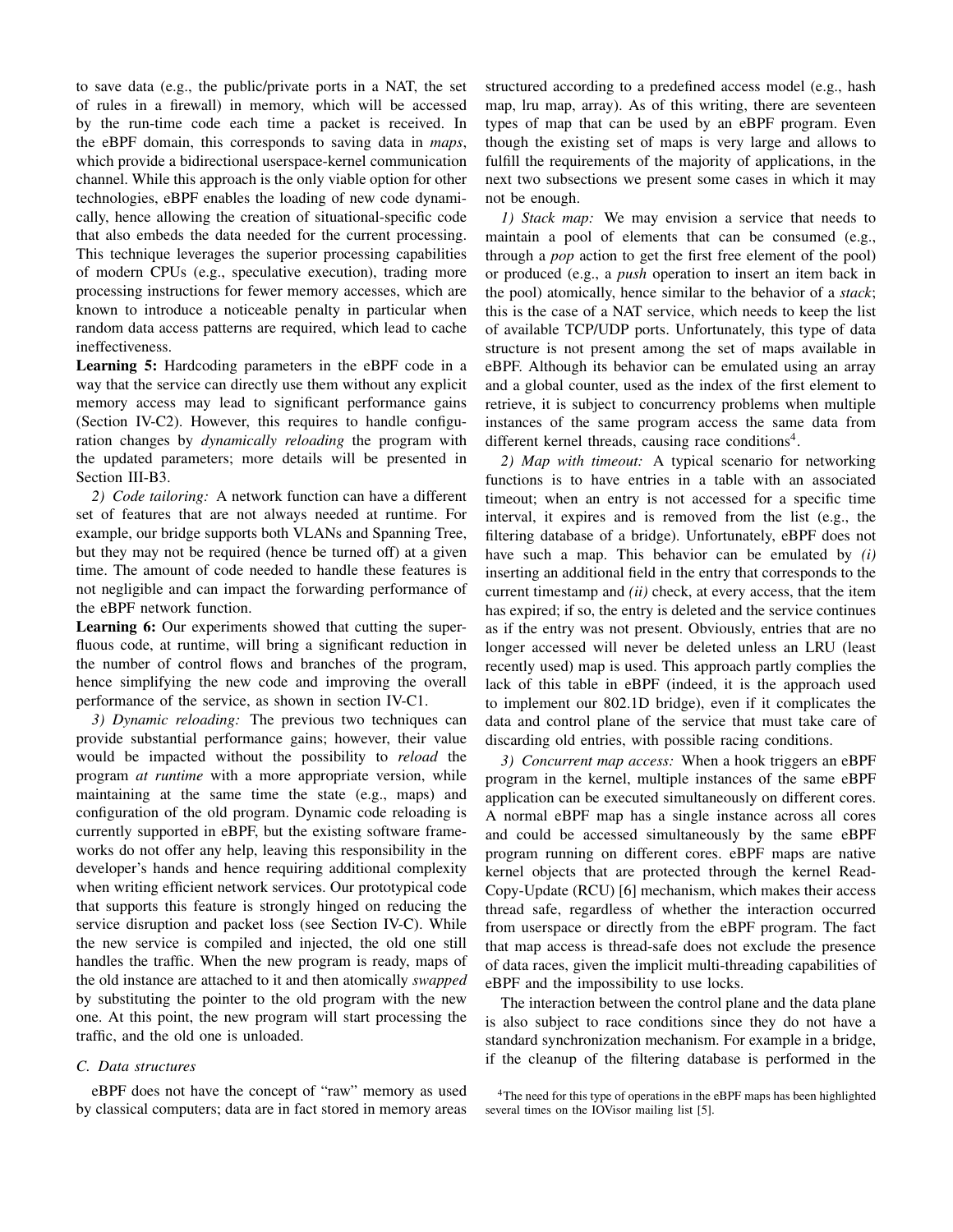to save data (e.g., the public/private ports in a NAT, the set of rules in a firewall) in memory, which will be accessed by the run-time code each time a packet is received. In the eBPF domain, this corresponds to saving data in *maps*, which provide a bidirectional userspace-kernel communication channel. While this approach is the only viable option for other technologies, eBPF enables the loading of new code dynamically, hence allowing the creation of situational-specific code that also embeds the data needed for the current processing. This technique leverages the superior processing capabilities of modern CPUs (e.g., speculative execution), trading more processing instructions for fewer memory accesses, which are known to introduce a noticeable penalty in particular when random data access patterns are required, which lead to cache ineffectiveness.

Learning 5: Hardcoding parameters in the eBPF code in a way that the service can directly use them without any explicit memory access may lead to significant performance gains (Section IV-C2). However, this requires to handle configuration changes by *dynamically reloading* the program with the updated parameters; more details will be presented in Section III-B3.

*2) Code tailoring:* A network function can have a different set of features that are not always needed at runtime. For example, our bridge supports both VLANs and Spanning Tree, but they may not be required (hence be turned off) at a given time. The amount of code needed to handle these features is not negligible and can impact the forwarding performance of the eBPF network function.

Learning 6: Our experiments showed that cutting the superfluous code, at runtime, will bring a significant reduction in the number of control flows and branches of the program, hence simplifying the new code and improving the overall performance of the service, as shown in section IV-C1.

*3) Dynamic reloading:* The previous two techniques can provide substantial performance gains; however, their value would be impacted without the possibility to *reload* the program *at runtime* with a more appropriate version, while maintaining at the same time the state (e.g., maps) and configuration of the old program. Dynamic code reloading is currently supported in eBPF, but the existing software frameworks do not offer any help, leaving this responsibility in the developer's hands and hence requiring additional complexity when writing efficient network services. Our prototypical code that supports this feature is strongly hinged on reducing the service disruption and packet loss (see Section IV-C). While the new service is compiled and injected, the old one still handles the traffic. When the new program is ready, maps of the old instance are attached to it and then atomically *swapped* by substituting the pointer to the old program with the new one. At this point, the new program will start processing the traffic, and the old one is unloaded.

## *C. Data structures*

eBPF does not have the concept of "raw" memory as used by classical computers; data are in fact stored in memory areas structured according to a predefined access model (e.g., hash map, lru map, array). As of this writing, there are seventeen types of map that can be used by an eBPF program. Even though the existing set of maps is very large and allows to fulfill the requirements of the majority of applications, in the next two subsections we present some cases in which it may not be enough.

*1) Stack map:* We may envision a service that needs to maintain a pool of elements that can be consumed (e.g., through a *pop* action to get the first free element of the pool) or produced (e.g., a *push* operation to insert an item back in the pool) atomically, hence similar to the behavior of a *stack*; this is the case of a NAT service, which needs to keep the list of available TCP/UDP ports. Unfortunately, this type of data structure is not present among the set of maps available in eBPF. Although its behavior can be emulated using an array and a global counter, used as the index of the first element to retrieve, it is subject to concurrency problems when multiple instances of the same program access the same data from different kernel threads, causing race conditions<sup>4</sup>.

*2) Map with timeout:* A typical scenario for networking functions is to have entries in a table with an associated timeout; when an entry is not accessed for a specific time interval, it expires and is removed from the list (e.g., the filtering database of a bridge). Unfortunately, eBPF does not have such a map. This behavior can be emulated by *(i)* inserting an additional field in the entry that corresponds to the current timestamp and *(ii)* check, at every access, that the item has expired; if so, the entry is deleted and the service continues as if the entry was not present. Obviously, entries that are no longer accessed will never be deleted unless an LRU (least recently used) map is used. This approach partly complies the lack of this table in eBPF (indeed, it is the approach used to implement our 802.1D bridge), even if it complicates the data and control plane of the service that must take care of discarding old entries, with possible racing conditions.

*3) Concurrent map access:* When a hook triggers an eBPF program in the kernel, multiple instances of the same eBPF application can be executed simultaneously on different cores. A normal eBPF map has a single instance across all cores and could be accessed simultaneously by the same eBPF program running on different cores. eBPF maps are native kernel objects that are protected through the kernel Read-Copy-Update (RCU) [6] mechanism, which makes their access thread safe, regardless of whether the interaction occurred from userspace or directly from the eBPF program. The fact that map access is thread-safe does not exclude the presence of data races, given the implicit multi-threading capabilities of eBPF and the impossibility to use locks.

The interaction between the control plane and the data plane is also subject to race conditions since they do not have a standard synchronization mechanism. For example in a bridge, if the cleanup of the filtering database is performed in the

<sup>&</sup>lt;sup>4</sup>The need for this type of operations in the eBPF maps has been highlighted several times on the IOVisor mailing list [5].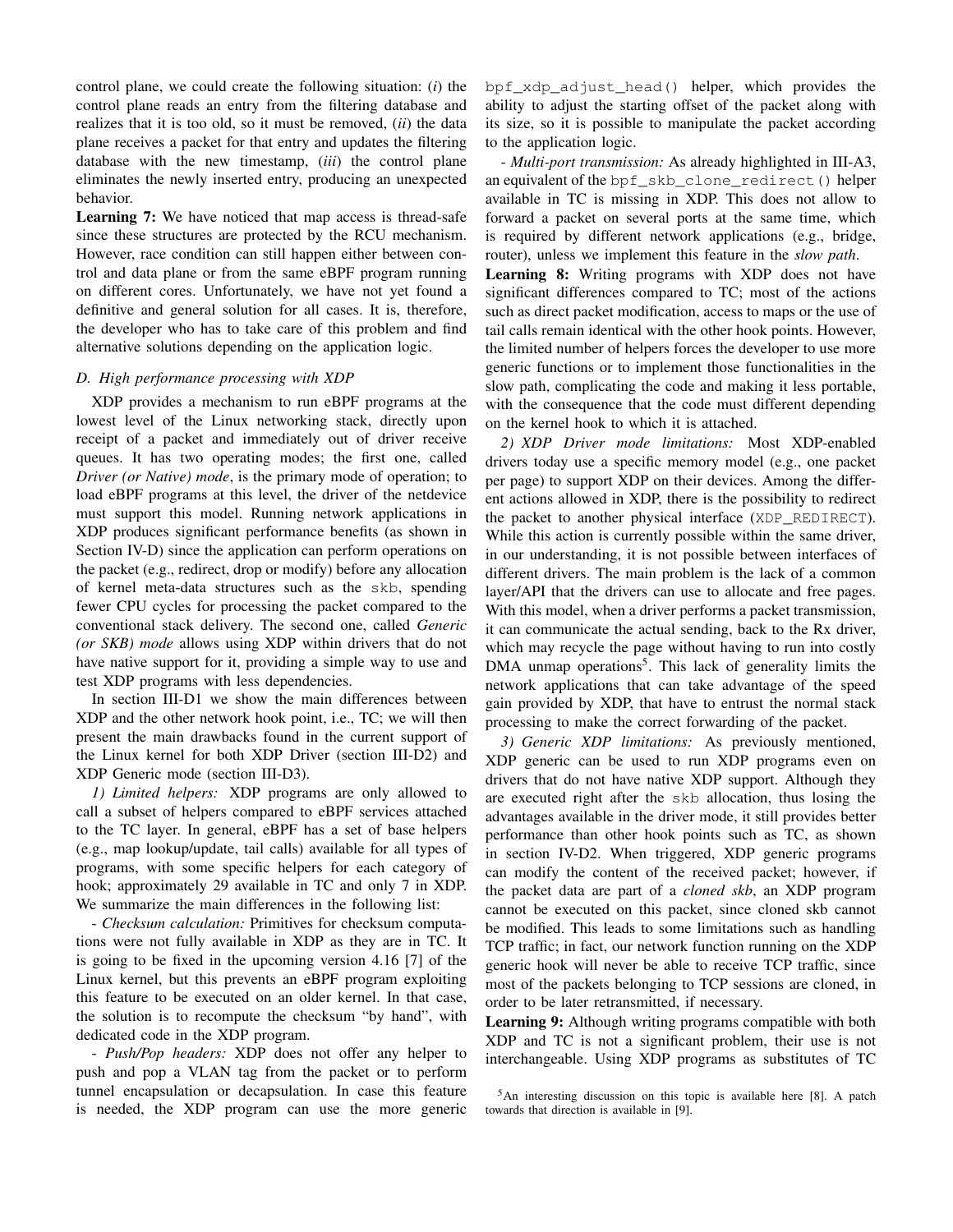control plane, we could create the following situation: (*i*) the control plane reads an entry from the filtering database and realizes that it is too old, so it must be removed, (*ii*) the data plane receives a packet for that entry and updates the filtering database with the new timestamp, (*iii*) the control plane eliminates the newly inserted entry, producing an unexpected behavior.

Learning 7: We have noticed that map access is thread-safe since these structures are protected by the RCU mechanism. However, race condition can still happen either between control and data plane or from the same eBPF program running on different cores. Unfortunately, we have not yet found a definitive and general solution for all cases. It is, therefore, the developer who has to take care of this problem and find alternative solutions depending on the application logic.

## *D. High performance processing with XDP*

XDP provides a mechanism to run eBPF programs at the lowest level of the Linux networking stack, directly upon receipt of a packet and immediately out of driver receive queues. It has two operating modes; the first one, called *Driver (or Native) mode*, is the primary mode of operation; to load eBPF programs at this level, the driver of the netdevice must support this model. Running network applications in XDP produces significant performance benefits (as shown in Section IV-D) since the application can perform operations on the packet (e.g., redirect, drop or modify) before any allocation of kernel meta-data structures such as the skb, spending fewer CPU cycles for processing the packet compared to the conventional stack delivery. The second one, called *Generic (or SKB) mode* allows using XDP within drivers that do not have native support for it, providing a simple way to use and test XDP programs with less dependencies.

In section III-D1 we show the main differences between XDP and the other network hook point, i.e., TC; we will then present the main drawbacks found in the current support of the Linux kernel for both XDP Driver (section III-D2) and XDP Generic mode (section III-D3).

*1) Limited helpers:* XDP programs are only allowed to call a subset of helpers compared to eBPF services attached to the TC layer. In general, eBPF has a set of base helpers (e.g., map lookup/update, tail calls) available for all types of programs, with some specific helpers for each category of hook; approximately 29 available in TC and only 7 in XDP. We summarize the main differences in the following list:

- *Checksum calculation:* Primitives for checksum computations were not fully available in XDP as they are in TC. It is going to be fixed in the upcoming version 4.16 [7] of the Linux kernel, but this prevents an eBPF program exploiting this feature to be executed on an older kernel. In that case, the solution is to recompute the checksum "by hand", with dedicated code in the XDP program.

- *Push/Pop headers:* XDP does not offer any helper to push and pop a VLAN tag from the packet or to perform tunnel encapsulation or decapsulation. In case this feature is needed, the XDP program can use the more generic bpf\_xdp\_adjust\_head() helper, which provides the ability to adjust the starting offset of the packet along with its size, so it is possible to manipulate the packet according to the application logic.

- *Multi-port transmission:* As already highlighted in III-A3, an equivalent of the bpf\_skb\_clone\_redirect() helper available in TC is missing in XDP. This does not allow to forward a packet on several ports at the same time, which is required by different network applications (e.g., bridge, router), unless we implement this feature in the *slow path*.

Learning 8: Writing programs with XDP does not have significant differences compared to TC; most of the actions such as direct packet modification, access to maps or the use of tail calls remain identical with the other hook points. However, the limited number of helpers forces the developer to use more generic functions or to implement those functionalities in the slow path, complicating the code and making it less portable, with the consequence that the code must different depending on the kernel hook to which it is attached.

*2) XDP Driver mode limitations:* Most XDP-enabled drivers today use a specific memory model (e.g., one packet per page) to support XDP on their devices. Among the different actions allowed in XDP, there is the possibility to redirect the packet to another physical interface (XDP\_REDIRECT). While this action is currently possible within the same driver, in our understanding, it is not possible between interfaces of different drivers. The main problem is the lack of a common layer/API that the drivers can use to allocate and free pages. With this model, when a driver performs a packet transmission, it can communicate the actual sending, back to the Rx driver, which may recycle the page without having to run into costly DMA unmap operations<sup>5</sup>. This lack of generality limits the network applications that can take advantage of the speed gain provided by XDP, that have to entrust the normal stack processing to make the correct forwarding of the packet.

*3) Generic XDP limitations:* As previously mentioned, XDP generic can be used to run XDP programs even on drivers that do not have native XDP support. Although they are executed right after the skb allocation, thus losing the advantages available in the driver mode, it still provides better performance than other hook points such as TC, as shown in section IV-D2. When triggered, XDP generic programs can modify the content of the received packet; however, if the packet data are part of a *cloned skb*, an XDP program cannot be executed on this packet, since cloned skb cannot be modified. This leads to some limitations such as handling TCP traffic; in fact, our network function running on the XDP generic hook will never be able to receive TCP traffic, since most of the packets belonging to TCP sessions are cloned, in order to be later retransmitted, if necessary.

Learning 9: Although writing programs compatible with both XDP and TC is not a significant problem, their use is not interchangeable. Using XDP programs as substitutes of TC

<sup>5</sup>An interesting discussion on this topic is available here [8]. A patch towards that direction is available in [9].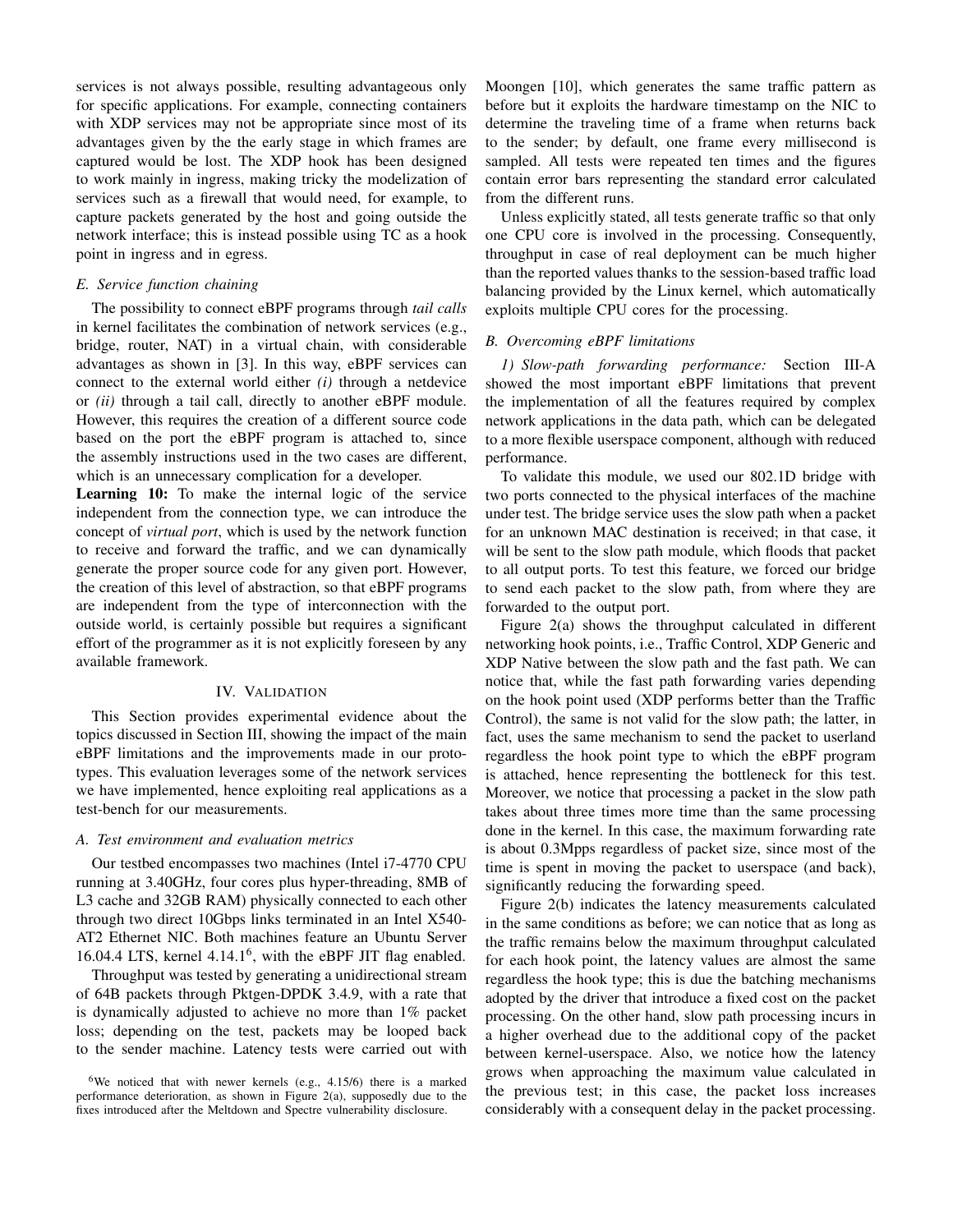services is not always possible, resulting advantageous only for specific applications. For example, connecting containers with XDP services may not be appropriate since most of its advantages given by the the early stage in which frames are captured would be lost. The XDP hook has been designed to work mainly in ingress, making tricky the modelization of services such as a firewall that would need, for example, to capture packets generated by the host and going outside the network interface; this is instead possible using TC as a hook point in ingress and in egress.

# *E. Service function chaining*

The possibility to connect eBPF programs through *tail calls* in kernel facilitates the combination of network services (e.g., bridge, router, NAT) in a virtual chain, with considerable advantages as shown in [3]. In this way, eBPF services can connect to the external world either *(i)* through a netdevice or *(ii)* through a tail call, directly to another eBPF module. However, this requires the creation of a different source code based on the port the eBPF program is attached to, since the assembly instructions used in the two cases are different, which is an unnecessary complication for a developer.

Learning 10: To make the internal logic of the service independent from the connection type, we can introduce the concept of *virtual port*, which is used by the network function to receive and forward the traffic, and we can dynamically generate the proper source code for any given port. However, the creation of this level of abstraction, so that eBPF programs are independent from the type of interconnection with the outside world, is certainly possible but requires a significant effort of the programmer as it is not explicitly foreseen by any available framework.

## IV. VALIDATION

This Section provides experimental evidence about the topics discussed in Section III, showing the impact of the main eBPF limitations and the improvements made in our prototypes. This evaluation leverages some of the network services we have implemented, hence exploiting real applications as a test-bench for our measurements.

# *A. Test environment and evaluation metrics*

Our testbed encompasses two machines (Intel i7-4770 CPU running at 3.40GHz, four cores plus hyper-threading, 8MB of L3 cache and 32GB RAM) physically connected to each other through two direct 10Gbps links terminated in an Intel X540- AT2 Ethernet NIC. Both machines feature an Ubuntu Server 16.04.4 LTS, kernel 4.14.1<sup>6</sup> , with the eBPF JIT flag enabled.

Throughput was tested by generating a unidirectional stream of 64B packets through Pktgen-DPDK 3.4.9, with a rate that is dynamically adjusted to achieve no more than 1% packet loss; depending on the test, packets may be looped back to the sender machine. Latency tests were carried out with

Moongen [10], which generates the same traffic pattern as before but it exploits the hardware timestamp on the NIC to determine the traveling time of a frame when returns back to the sender; by default, one frame every millisecond is sampled. All tests were repeated ten times and the figures contain error bars representing the standard error calculated from the different runs.

Unless explicitly stated, all tests generate traffic so that only one CPU core is involved in the processing. Consequently, throughput in case of real deployment can be much higher than the reported values thanks to the session-based traffic load balancing provided by the Linux kernel, which automatically exploits multiple CPU cores for the processing.

## *B. Overcoming eBPF limitations*

*1) Slow-path forwarding performance:* Section III-A showed the most important eBPF limitations that prevent the implementation of all the features required by complex network applications in the data path, which can be delegated to a more flexible userspace component, although with reduced performance.

To validate this module, we used our 802.1D bridge with two ports connected to the physical interfaces of the machine under test. The bridge service uses the slow path when a packet for an unknown MAC destination is received; in that case, it will be sent to the slow path module, which floods that packet to all output ports. To test this feature, we forced our bridge to send each packet to the slow path, from where they are forwarded to the output port.

Figure 2(a) shows the throughput calculated in different networking hook points, i.e., Traffic Control, XDP Generic and XDP Native between the slow path and the fast path. We can notice that, while the fast path forwarding varies depending on the hook point used (XDP performs better than the Traffic Control), the same is not valid for the slow path; the latter, in fact, uses the same mechanism to send the packet to userland regardless the hook point type to which the eBPF program is attached, hence representing the bottleneck for this test. Moreover, we notice that processing a packet in the slow path takes about three times more time than the same processing done in the kernel. In this case, the maximum forwarding rate is about 0.3Mpps regardless of packet size, since most of the time is spent in moving the packet to userspace (and back), significantly reducing the forwarding speed.

Figure 2(b) indicates the latency measurements calculated in the same conditions as before; we can notice that as long as the traffic remains below the maximum throughput calculated for each hook point, the latency values are almost the same regardless the hook type; this is due the batching mechanisms adopted by the driver that introduce a fixed cost on the packet processing. On the other hand, slow path processing incurs in a higher overhead due to the additional copy of the packet between kernel-userspace. Also, we notice how the latency grows when approaching the maximum value calculated in the previous test; in this case, the packet loss increases considerably with a consequent delay in the packet processing.

<sup>&</sup>lt;sup>6</sup>We noticed that with newer kernels (e.g.,  $4.15/6$ ) there is a marked performance deterioration, as shown in Figure 2(a), supposedly due to the fixes introduced after the Meltdown and Spectre vulnerability disclosure.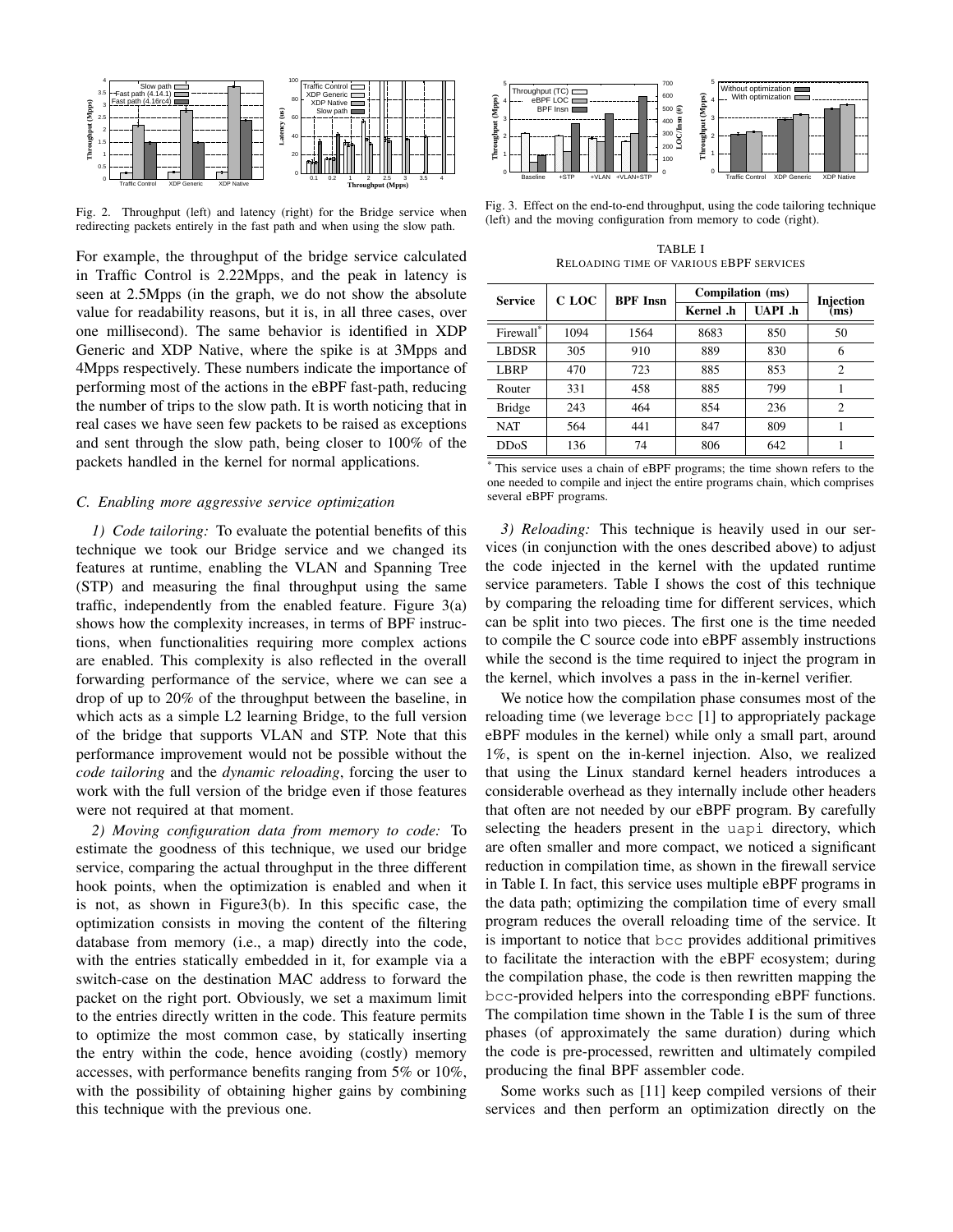

Fig. 2. Throughput (left) and latency (right) for the Bridge service when redirecting packets entirely in the fast path and when using the slow path.

For example, the throughput of the bridge service calculated in Traffic Control is 2.22Mpps, and the peak in latency is seen at 2.5Mpps (in the graph, we do not show the absolute value for readability reasons, but it is, in all three cases, over one millisecond). The same behavior is identified in XDP Generic and XDP Native, where the spike is at 3Mpps and 4Mpps respectively. These numbers indicate the importance of performing most of the actions in the eBPF fast-path, reducing the number of trips to the slow path. It is worth noticing that in real cases we have seen few packets to be raised as exceptions and sent through the slow path, being closer to 100% of the packets handled in the kernel for normal applications.

## *C. Enabling more aggressive service optimization*

*1) Code tailoring:* To evaluate the potential benefits of this technique we took our Bridge service and we changed its features at runtime, enabling the VLAN and Spanning Tree (STP) and measuring the final throughput using the same traffic, independently from the enabled feature. Figure 3(a) shows how the complexity increases, in terms of BPF instructions, when functionalities requiring more complex actions are enabled. This complexity is also reflected in the overall forwarding performance of the service, where we can see a drop of up to 20% of the throughput between the baseline, in which acts as a simple L2 learning Bridge, to the full version of the bridge that supports VLAN and STP. Note that this performance improvement would not be possible without the *code tailoring* and the *dynamic reloading*, forcing the user to work with the full version of the bridge even if those features were not required at that moment. 3. The the previous of the previous orientation is the previous of the previous of the previous previous of the Britannia minimal method of the Britannia minimal method in the properties are existent and the properties of

*2) Moving configuration data from memory to code:* To estimate the goodness of this technique, we used our bridge service, comparing the actual throughput in the three different hook points, when the optimization is enabled and when it is not, as shown in Figure3(b). In this specific case, the optimization consists in moving the content of the filtering database from memory (i.e., a map) directly into the code, with the entries statically embedded in it, for example via a switch-case on the destination MAC address to forward the packet on the right port. Obviously, we set a maximum limit to the entries directly written in the code. This feature permits to optimize the most common case, by statically inserting the entry within the code, hence avoiding (costly) memory accesses, with performance benefits ranging from 5% or 10%, with the possibility of obtaining higher gains by combining



Fig. 3. Effect on the end-to-end throughput, using the code tailoring technique (left) and the moving configuration from memory to code (right).

TABLE I RELOADING TIME OF VARIOUS EBPF SERVICES

| <b>Service</b> | C LOC | <b>BPF</b> Insn | Compilation (ms) |                | <b>Injection</b> |
|----------------|-------|-----------------|------------------|----------------|------------------|
|                |       |                 | Kernel .h        | <b>UAPL</b> .h | (ms)             |
| Firewall*      | 1094  | 1564            | 8683             | 850            | 50               |
| <b>LBDSR</b>   | 305   | 910             | 889              | 830            | 6                |
| LBRP           | 470   | 723             | 885              | 853            | $\overline{c}$   |
| Router         | 331   | 458             | 885              | 799            |                  |
| <b>Bridge</b>  | 243   | 464             | 854              | 236            | $\overline{c}$   |
| <b>NAT</b>     | 564   | 441             | 847              | 809            |                  |
| <b>DDoS</b>    | 136   | 74              | 806              | 642            |                  |

\* This service uses a chain of eBPF programs; the time shown refers to the one needed to compile and inject the entire programs chain, which comprises several eBPF programs.

*3) Reloading:* This technique is heavily used in our services (in conjunction with the ones described above) to adjust the code injected in the kernel with the updated runtime service parameters. Table I shows the cost of this technique by comparing the reloading time for different services, which can be split into two pieces. The first one is the time needed to compile the C source code into eBPF assembly instructions while the second is the time required to inject the program in the kernel, which involves a pass in the in-kernel verifier.

We notice how the compilation phase consumes most of the reloading time (we leverage bcc [1] to appropriately package eBPF modules in the kernel) while only a small part, around 1%, is spent on the in-kernel injection. Also, we realized that using the Linux standard kernel headers introduces a considerable overhead as they internally include other headers that often are not needed by our eBPF program. By carefully selecting the headers present in the uapi directory, which are often smaller and more compact, we noticed a significant reduction in compilation time, as shown in the firewall service in Table I. In fact, this service uses multiple eBPF programs in the data path; optimizing the compilation time of every small program reduces the overall reloading time of the service. It is important to notice that bcc provides additional primitives to facilitate the interaction with the eBPF ecosystem; during the compilation phase, the code is then rewritten mapping the bcc-provided helpers into the corresponding eBPF functions. The compilation time shown in the Table I is the sum of three phases (of approximately the same duration) during which the code is pre-processed, rewritten and ultimately compiled producing the final BPF assembler code.

Some works such as [11] keep compiled versions of their services and then perform an optimization directly on the